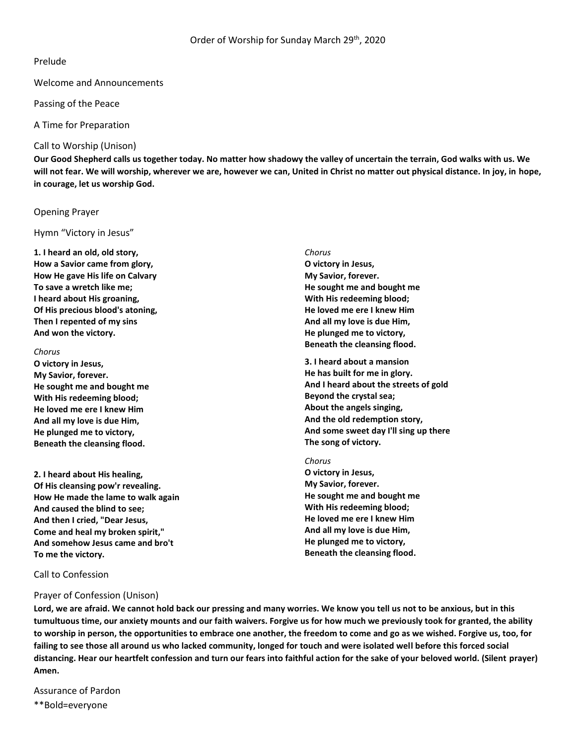# Prelude

Welcome and Announcements

Passing of the Peace

A Time for Preparation

### Call to Worship (Unison)

**Our Good Shepherd calls us together today. No matter how shadowy the valley of uncertain the terrain, God walks with us. We will not fear. We will worship, wherever we are, however we can, United in Christ no matter out physical distance. In joy, in hope, in courage, let us worship God.** 

## Opening Prayer

### Hymn "Victory in Jesus"

**1. I heard an old, old story, How a Savior came from glory, How He gave His life on Calvary To save a wretch like me; I heard about His groaning, Of His precious blood's atoning, Then I repented of my sins And won the victory.**

#### *Chorus*

**O victory in Jesus, My Savior, forever. He sought me and bought me With His redeeming blood; He loved me ere I knew Him And all my love is due Him, He plunged me to victory, Beneath the cleansing flood.**

**2. I heard about His healing, Of His cleansing pow'r revealing. How He made the lame to walk again And caused the blind to see; And then I cried, "Dear Jesus, Come and heal my broken spirit," And somehow Jesus came and bro't To me the victory.**

## Call to Confession

## Prayer of Confession (Unison)

#### *Chorus*

**O victory in Jesus, My Savior, forever. He sought me and bought me With His redeeming blood; He loved me ere I knew Him And all my love is due Him, He plunged me to victory, Beneath the cleansing flood.**

**3. I heard about a mansion He has built for me in glory. And I heard about the streets of gold Beyond the crystal sea; About the angels singing, And the old redemption story, And some sweet day I'll sing up there The song of victory.**

#### *Chorus*

**O victory in Jesus, My Savior, forever. He sought me and bought me With His redeeming blood; He loved me ere I knew Him And all my love is due Him, He plunged me to victory, Beneath the cleansing flood.** 

**Lord, we are afraid. We cannot hold back our pressing and many worries. We know you tell us not to be anxious, but in this tumultuous time, our anxiety mounts and our faith waivers. Forgive us for how much we previously took for granted, the ability to worship in person, the opportunities to embrace one another, the freedom to come and go as we wished. Forgive us, too, for failing to see those all around us who lacked community, longed for touch and were isolated well before this forced social distancing. Hear our heartfelt confession and turn our fears into faithful action for the sake of your beloved world. (Silent prayer) Amen.**

\*\*Bold=everyone Assurance of Pardon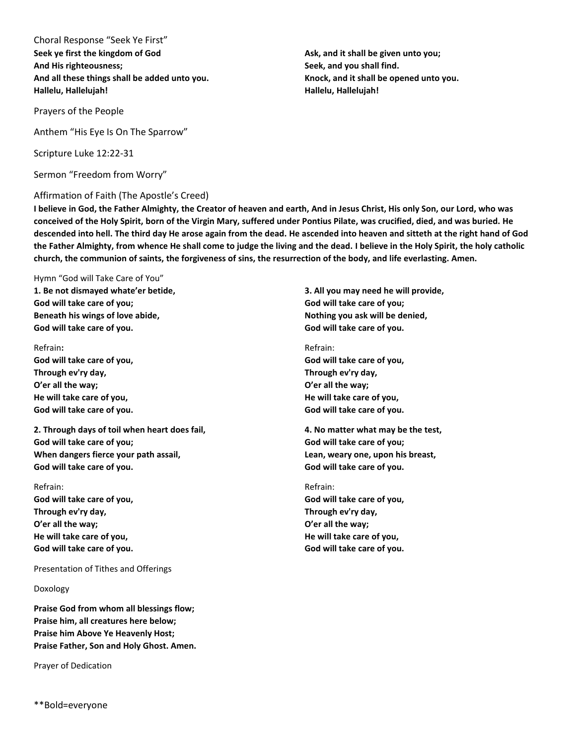Choral Response "Seek Ye First" **Seek ye first the kingdom of God And His righteousness; And all these things shall be added unto you. Hallelu, Hallelujah!**

Prayers of the People

Anthem "His Eye Is On The Sparrow"

Scripture Luke 12:22-31

Sermon "Freedom from Worry"

# Affirmation of Faith (The Apostle's Creed)

**Ask, and it shall be given unto you; Seek, and you shall find. Knock, and it shall be opened unto you. Hallelu, Hallelujah!**

**I believe in God, the Father Almighty, the Creator of heaven and earth, And in Jesus Christ, His only Son, our Lord, who was conceived of the Holy Spirit, born of the Virgin Mary, suffered under Pontius Pilate, was crucified, died, and was buried. He descended into hell. The third day He arose again from the dead. He ascended into heaven and sitteth at the right hand of God the Father Almighty, from whence He shall come to judge the living and the dead. I believe in the Holy Spirit, the holy catholic church, the communion of saints, the forgiveness of sins, the resurrection of the body, and life everlasting. Amen.**

#### Hymn "God will Take Care of You"

**1. Be not dismayed whate'er betide, God will take care of you; Beneath his wings of love abide, God will take care of you.**

Refrain**: God will take care of you, Through ev'ry day, O'er all the way; He will take care of you, God will take care of you.**

**2. Through days of toil when heart does fail, God will take care of you; When dangers fierce your path assail, God will take care of you.** 

#### Refrain:

**God will take care of you, Through ev'ry day, O'er all the way; He will take care of you, God will take care of you.**

Presentation of Tithes and Offerings

## Doxology

**Praise God from whom all blessings flow; Praise him, all creatures here below; Praise him Above Ye Heavenly Host; Praise Father, Son and Holy Ghost. Amen.**

Prayer of Dedication

**3. All you may need he will provide, God will take care of you; Nothing you ask will be denied, God will take care of you.** 

Refrain: **God will take care of you, Through ev'ry day, O'er all the way; He will take care of you, God will take care of you.**

**4. No matter what may be the test, God will take care of you; Lean, weary one, upon his breast, God will take care of you.** 

Refrain: **God will take care of you, Through ev'ry day, O'er all the way; He will take care of you, God will take care of you.**